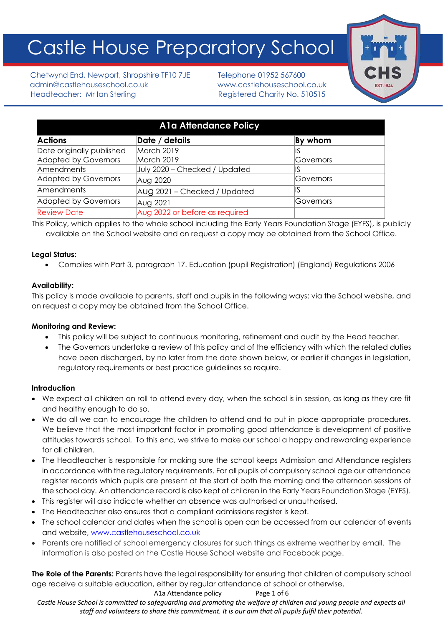# Castle House Preparatory School

Chetwynd End, Newport, Shropshire TF10 7JE Telephone 01952 567600 admin@castlehouseschool.co.uk www.castlehouseschool.co.uk Headteacher: Mr Ian Sterling Theory Registered Charity No. 510515



| <b>A1a Attendance Policy</b> |                                |           |
|------------------------------|--------------------------------|-----------|
| <b>Actions</b>               | Date / details                 | By whom   |
| Date originally published    | March 2019                     |           |
| Adopted by Governors         | March 2019                     | Governors |
| Amendments                   | July 2020 - Checked / Updated  |           |
| Adopted by Governors         | Aug 2020                       | Governors |
| <b>Amendments</b>            | Aug 2021 – Checked / Updated   |           |
| Adopted by Governors         | Aug 2021                       | Governors |
| <b>Review Date</b>           | Aug 2022 or before as required |           |

This Policy, which applies to the whole school including the Early Years Foundation Stage (EYFS), is publicly available on the School website and on request a copy may be obtained from the School Office.

## **Legal Status:**

• Complies with Part 3, paragraph 17. Education (pupil Registration) (England) Regulations 2006

# **Availability:**

This policy is made available to parents, staff and pupils in the following ways: via the School website, and on request a copy may be obtained from the School Office.

## **Monitoring and Review:**

- This policy will be subject to continuous monitoring, refinement and audit by the Head teacher.
- The Governors undertake a review of this policy and of the efficiency with which the related duties have been discharged, by no later from the date shown below, or earlier if changes in legislation, regulatory requirements or best practice guidelines so require.

## **Introduction**

- We expect all children on roll to attend every day, when the school is in session, as long as they are fit and healthy enough to do so.
- We do all we can to encourage the children to attend and to put in place appropriate procedures. We believe that the most important factor in promoting good attendance is development of positive attitudes towards school. To this end, we strive to make our school a happy and rewarding experience for all children.
- The Headteacher is responsible for making sure the school keeps Admission and Attendance registers in accordance with the regulatory requirements. For all pupils of compulsory school age our attendance register records which pupils are present at the start of both the morning and the afternoon sessions of the school day. An attendance record is also kept of children in the Early Years Foundation Stage (EYFS).
- This register will also indicate whether an absence was authorised or unauthorised.
- The Headteacher also ensures that a compliant admissions register is kept.
- The school calendar and dates when the school is open can be accessed from our calendar of events and website, www.castlehouseschool.co.uk
- Parents are notified of school emergency closures for such things as extreme weather by email. The information is also posted on the Castle House School website and Facebook page.

**The Role of the Parents:** Parents have the legal responsibility for ensuring that children of compulsory school age receive a suitable education, either by regular attendance at school or otherwise.

A1a Attendance policy Page 1 of 6

*Castle House School is committed to safeguarding and promoting the welfare of children and young people and expects all staff and volunteers to share this commitment. It is our aim that all pupils fulfil their potential.*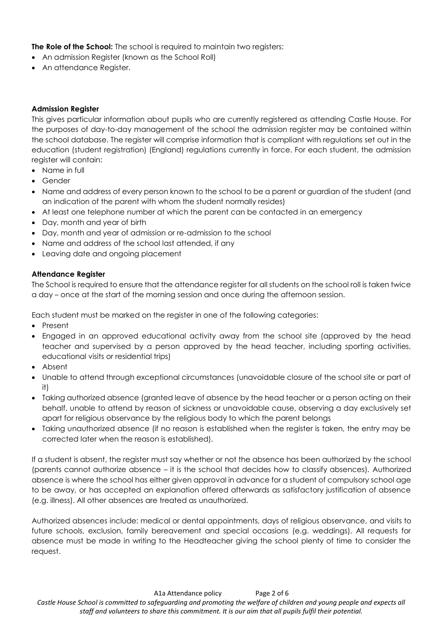**The Role of the School:** The school is required to maintain two registers:

- An admission Register (known as the School Roll)
- An attendance Register.

#### **Admission Register**

This gives particular information about pupils who are currently registered as attending Castle House. For the purposes of day-to-day management of the school the admission register may be contained within the school database. The register will comprise information that is compliant with regulations set out in the education (student registration) (England) regulations currently in force. For each student, the admission register will contain:

- Name in full
- Gender
- Name and address of every person known to the school to be a parent or guardian of the student (and an indication of the parent with whom the student normally resides)
- At least one telephone number at which the parent can be contacted in an emergency
- Day, month and year of birth
- Day, month and year of admission or re-admission to the school
- Name and address of the school last attended, if any
- Leaving date and ongoing placement

#### **Attendance Register**

The School is required to ensure that the attendance register for all students on the school roll is taken twice a day – once at the start of the morning session and once during the afternoon session.

Each student must be marked on the register in one of the following categories:

- Present
- Engaged in an approved educational activity away from the school site (approved by the head teacher and supervised by a person approved by the head teacher, including sporting activities, educational visits or residential trips)
- Absent
- Unable to attend through exceptional circumstances (unavoidable closure of the school site or part of it)
- Taking authorized absence (granted leave of absence by the head teacher or a person acting on their behalf, unable to attend by reason of sickness or unavoidable cause, observing a day exclusively set apart for religious observance by the religious body to which the parent belongs
- Taking unauthorized absence (if no reason is established when the register is taken, the entry may be corrected later when the reason is established).

If a student is absent, the register must say whether or not the absence has been authorized by the school (parents cannot authorize absence – it is the school that decides how to classify absences). Authorized absence is where the school has either given approval in advance for a student of compulsory school age to be away, or has accepted an explanation offered afterwards as satisfactory justification of absence (e.g. illness). All other absences are treated as unauthorized.

Authorized absences include: medical or dental appointments, days of religious observance, and visits to future schools, exclusion, family bereavement and special occasions (e.g. weddings). All requests for absence must be made in writing to the Headteacher giving the school plenty of time to consider the request.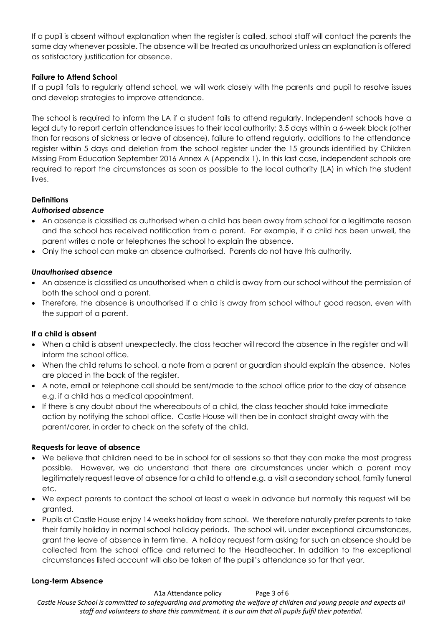If a pupil is absent without explanation when the register is called, school staff will contact the parents the same day whenever possible. The absence will be treated as unauthorized unless an explanation is offered as satisfactory justification for absence.

## **Failure to Attend School**

If a pupil fails to regularly attend school, we will work closely with the parents and pupil to resolve issues and develop strategies to improve attendance.

The school is required to inform the LA if a student fails to attend regularly. Independent schools have a legal duty to report certain attendance issues to their local authority: 3.5 days within a 6-week block (other than for reasons of sickness or leave of absence), failure to attend regularly, additions to the attendance register within 5 days and deletion from the school register under the 15 grounds identified by Children Missing From Education September 2016 Annex A (Appendix 1). In this last case, independent schools are required to report the circumstances as soon as possible to the local authority (LA) in which the student lives.

# **Definitions**

# *Authorised absence*

- An absence is classified as authorised when a child has been away from school for a legitimate reason and the school has received notification from a parent. For example, if a child has been unwell, the parent writes a note or telephones the school to explain the absence.
- Only the school can make an absence authorised. Parents do not have this authority.

## *Unauthorised absence*

- An absence is classified as unauthorised when a child is away from our school without the permission of both the school and a parent.
- Therefore, the absence is unauthorised if a child is away from school without good reason, even with the support of a parent.

## **If a child is absent**

- When a child is absent unexpectedly, the class teacher will record the absence in the register and will inform the school office.
- When the child returns to school, a note from a parent or guardian should explain the absence. Notes are placed in the back of the register.
- A note, email or telephone call should be sent/made to the school office prior to the day of absence e.g. if a child has a medical appointment.
- If there is any doubt about the whereabouts of a child, the class teacher should take immediate action by notifying the school office. Castle House will then be in contact straight away with the parent/carer, in order to check on the safety of the child.

## **Requests for leave of absence**

- We believe that children need to be in school for all sessions so that they can make the most progress possible. However, we do understand that there are circumstances under which a parent may legitimately request leave of absence for a child to attend e.g. a visit a secondary school, family funeral etc.
- We expect parents to contact the school at least a week in advance but normally this request will be granted.
- Pupils at Castle House enjoy 14 weeks holiday from school. We therefore naturally prefer parents to take their family holiday in normal school holiday periods. The school will, under exceptional circumstances, grant the leave of absence in term time. A holiday request form asking for such an absence should be collected from the school office and returned to the Headteacher. In addition to the exceptional circumstances listed account will also be taken of the pupil's attendance so far that year.

## **Long-term Absence**

A1a Attendance policy Page 3 of 6 *Castle House School is committed to safeguarding and promoting the welfare of children and young people and expects all staff and volunteers to share this commitment. It is our aim that all pupils fulfil their potential.*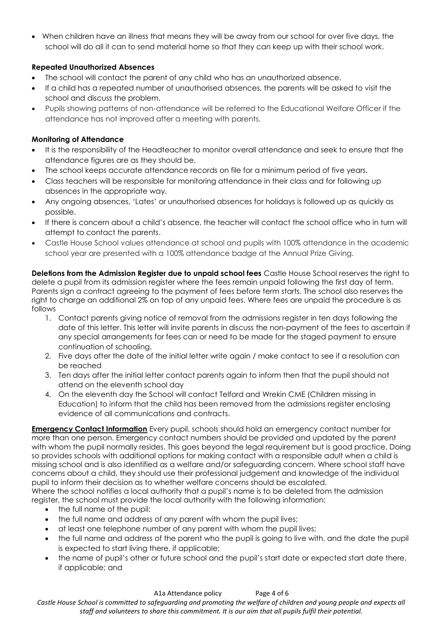• When children have an illness that means they will be away from our school for over five days, the school will do all it can to send material home so that they can keep up with their school work.

# **Repeated Unauthorized Absences**

- The school will contact the parent of any child who has an unauthorized absence.
- If a child has a repeated number of unauthorised absences, the parents will be asked to visit the school and discuss the problem.
- Pupils showing patterns of non-attendance will be referred to the Educational Welfare Officer if the attendance has not improved after a meeting with parents.

## **Monitoring of Attendance**

- It is the responsibility of the Headteacher to monitor overall attendance and seek to ensure that the attendance figures are as they should be.
- The school keeps accurate attendance records on file for a minimum period of five years.
- Class teachers will be responsible for monitoring attendance in their class and for following up absences in the appropriate way.
- Any ongoing absences, 'Lates' or unauthorised absences for holidays is followed up as quickly as possible.
- If there is concern about a child's absence, the teacher will contact the school office who in turn will attempt to contact the parents.
- Castle House School values attendance at school and pupils with 100% attendance in the academic school year are presented with a 100% attendance badge at the Annual Prize Giving.

**Deletions from the Admission Register due to unpaid school fees** Castle House School reserves the right to delete a pupil from its admission register where the fees remain unpaid following the first day of term. Parents sign a contract agreeing to the payment of fees before term starts. The school also reserves the right to charge an additional 2% on top of any unpaid fees. Where fees are unpaid the procedure is as follows

- 1. Contact parents giving notice of removal from the admissions register in ten days following the date of this letter. This letter will invite parents in discuss the non-payment of the fees to ascertain if any special arrangements for fees can or need to be made for the staged payment to ensure continuation of schooling.
- 2. Five days after the date of the initial letter write again / make contact to see if a resolution can be reached
- 3. Ten days after the initial letter contact parents again to inform then that the pupil should not attend on the eleventh school day
- 4. On the eleventh day the School will contact Telford and Wrekin CME (Children missing in Education) to inform that the child has been removed from the admissions register enclosing evidence of all communications and contracts.

**Emergency Contact Information** Every pupil, schools should hold an emergency contact number for more than one person. Emergency contact numbers should be provided and updated by the parent with whom the pupil normally resides. This goes beyond the legal requirement but is good practice. Doing so provides schools with additional options for making contact with a responsible adult when a child is missing school and is also identified as a welfare and/or safeguarding concern. Where school staff have concerns about a child, they should use their professional judgement and knowledge of the individual pupil to inform their decision as to whether welfare concerns should be escalated.

Where the school notifies a local authority that a pupil's name is to be deleted from the admission register, the school must provide the local authority with the following information:

- the full name of the pupil;
- the full name and address of any parent with whom the pupil lives;
- at least one telephone number of any parent with whom the pupil lives;
- the full name and address of the parent who the pupil is going to live with, and the date the pupil is expected to start living there, if applicable;
- the name of pupil's other or future school and the pupil's start date or expected start date there, if applicable; and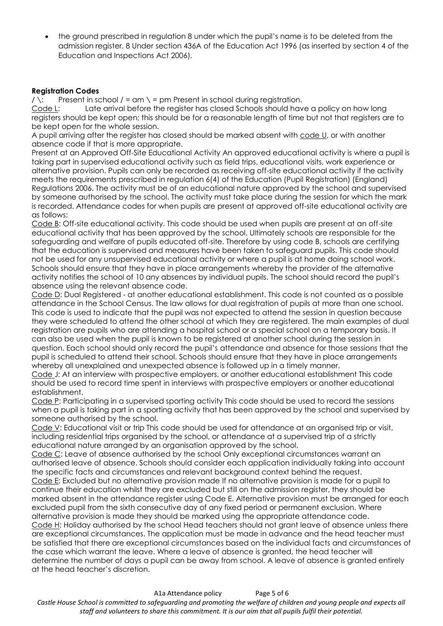• the ground prescribed in regulation 8 under which the pupil's name is to be deleted from the admission register. 8 Under section 436A of the Education Act 1996 (as inserted by section 4 of the Education and Inspections Act 2006).

#### **Registration Codes**

 $\prime \backslash$ : Present in school  $\prime$  = am  $\backslash$  = pm Present in school during registration.

Code L: Late arrival before the register has closed Schools should have a policy on how long registers should be kept open; this should be for a reasonable length of time but not that registers are to be kept open for the whole session.

A pupil arriving after the register has closed should be marked absent with code U, or with another absence code if that is more appropriate.

Present at an Approved Off-Site Educational Activity An approved educational activity is where a pupil is taking part in supervised educational activity such as field trips, educational visits, work experience or alternative provision. Pupils can only be recorded as receiving off-site educational activity if the activity meets the requirements prescribed in regulation 6(4) of the Education (Pupil Registration) (England) Regulations 2006. The activity must be of an educational nature approved by the school and supervised by someone authorised by the school. The activity must take place during the session for which the mark is recorded. Attendance codes for when pupils are present at approved off-site educational activity are as follows:

Code B: Off-site educational activity. This code should be used when pupils are present at an off-site educational activity that has been approved by the school. Ultimately schools are responsible for the safeguarding and welfare of pupils educated off-site. Therefore by using code B, schools are certifying that the education is supervised and measures have been taken to safeguard pupils. This code should not be used for any unsupervised educational activity or where a pupil is at home doing school work. Schools should ensure that they have in place arrangements whereby the provider of the alternative activity notifies the school of 10 any absences by individual pupils. The school should record the pupil's absence using the relevant absence code.

Code D: Dual Registered - at another educational establishment. This code is not counted as a possible attendance in the School Census. The law allows for dual registration of pupils at more than one school. This code is used to indicate that the pupil was not expected to attend the session in question because they were scheduled to attend the other school at which they are registered. The main examples of dual registration are pupils who are attending a hospital school or a special school on a temporary basis. It can also be used when the pupil is known to be registered at another school during the session in question. Each school should only record the pupil's attendance and absence for those sessions that the pupil is scheduled to attend their school. Schools should ensure that they have in place arrangements whereby all unexplained and unexpected absence is followed up in a timely manner.

Code J: At an interview with prospective employers, or another educational establishment This code should be used to record time spent in interviews with prospective employers or another educational establishment.

Code P: Participating in a supervised sporting activity This code should be used to record the sessions when a pupil is taking part in a sporting activity that has been approved by the school and supervised by someone authorised by the school.

Code V: Educational visit or trip This code should be used for attendance at an organised trip or visit, including residential trips organised by the school, or attendance at a supervised trip of a strictly educational nature arranged by an organisation approved by the school.

Code C: Leave of absence authorised by the school Only exceptional circumstances warrant an authorised leave of absence. Schools should consider each application individually taking into account the specific facts and circumstances and relevant background context behind the request.

Code E: Excluded but no alternative provision made If no alternative provision is made for a pupil to continue their education whilst they are excluded but still on the admission register, they should be marked absent in the attendance register using Code E. Alternative provision must be arranged for each excluded pupil from the sixth consecutive day of any fixed period or permanent exclusion. Where alternative provision is made they should be marked using the appropriate attendance code. Code H: Holiday authorised by the school Head teachers should not grant leave of absence unless there

are exceptional circumstances. The application must be made in advance and the head teacher must be satisfied that there are exceptional circumstances based on the individual facts and circumstances of the case which warrant the leave. Where a leave of absence is granted, the head teacher will determine the number of days a pupil can be away from school. A leave of absence is granted entirely at the head teacher's discretion.

A1a Attendance policy Page 5 of 6 *Castle House School is committed to safeguarding and promoting the welfare of children and young people and expects all staff and volunteers to share this commitment. It is our aim that all pupils fulfil their potential.*